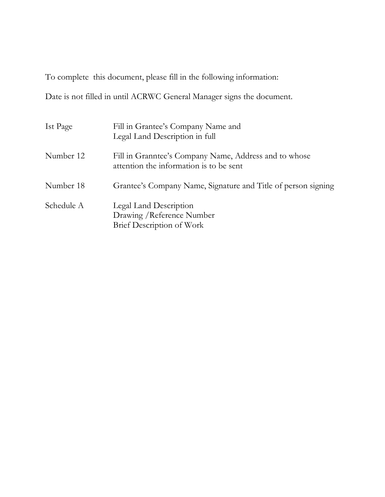To complete this document, please fill in the following information:

Date is not filled in until ACRWC General Manager signs the document.

| Ist Page   | Fill in Grantee's Company Name and<br>Legal Land Description in full                             |
|------------|--------------------------------------------------------------------------------------------------|
| Number 12  | Fill in Granntee's Company Name, Address and to whose<br>attention the information is to be sent |
| Number 18  | Grantee's Company Name, Signature and Title of person signing                                    |
| Schedule A | Legal Land Description<br>Drawing / Reference Number<br>Brief Description of Work                |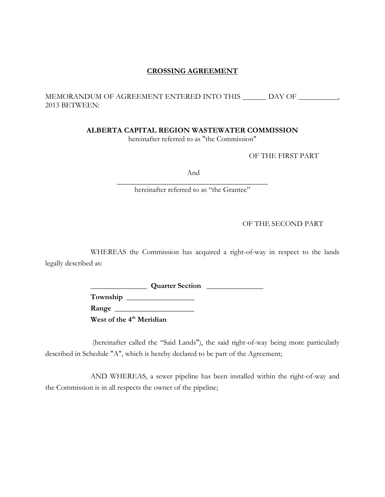# **CROSSING AGREEMENT**

# MEMORANDUM OF AGREEMENT ENTERED INTO THIS \_\_\_\_\_\_ DAY OF \_\_\_\_\_\_\_\_\_\_\_, 2013 BETWEEN:

**ALBERTA CAPITAL REGION WASTEWATER COMMISSION**

hereinafter referred to as "the Commission"

OF THE FIRST PART

And

 $\overline{\phantom{a}}$  , where  $\overline{\phantom{a}}$  , where  $\overline{\phantom{a}}$  ,  $\overline{\phantom{a}}$  ,  $\overline{\phantom{a}}$  ,  $\overline{\phantom{a}}$  ,  $\overline{\phantom{a}}$  ,  $\overline{\phantom{a}}$  ,  $\overline{\phantom{a}}$  ,  $\overline{\phantom{a}}$  ,  $\overline{\phantom{a}}$  ,  $\overline{\phantom{a}}$  ,  $\overline{\phantom{a}}$  ,  $\overline{\phantom{a}}$  ,  $\overline{\phantom{a}}$  , hereinafter referred to as "the Grantee"

OF THE SECOND PART

WHEREAS the Commission has acquired a right-of-way in respect to the lands legally described as:

> **Quarter Section \_\_\_\_\_\_\_\_\_\_\_\_\_\_ Township \_\_\_\_\_\_\_\_\_\_\_\_\_\_\_\_\_\_ Range \_\_\_\_\_\_\_\_\_\_\_\_\_\_\_\_\_\_\_\_\_ West of the 4th Meridian**

(hereinafter called the "Said Lands"), the said right-of-way being more particularly described in Schedule "A", which is hereby declared to be part of the Agreement;

AND WHEREAS, a sewer pipeline has been installed within the right-of-way and the Commission is in all respects the owner of the pipeline;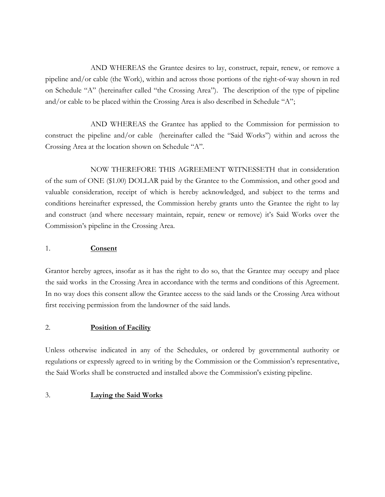AND WHEREAS the Grantee desires to lay, construct, repair, renew, or remove a pipeline and/or cable (the Work), within and across those portions of the right-of-way shown in red on Schedule "A" (hereinafter called "the Crossing Area"). The description of the type of pipeline and/or cable to be placed within the Crossing Area is also described in Schedule "A";

AND WHEREAS the Grantee has applied to the Commission for permission to construct the pipeline and/or cable (hereinafter called the "Said Works") within and across the Crossing Area at the location shown on Schedule "A".

NOW THEREFORE THIS AGREEMENT WITNESSETH that in consideration of the sum of ONE (\$1.00) DOLLAR paid by the Grantee to the Commission, and other good and valuable consideration, receipt of which is hereby acknowledged, and subject to the terms and conditions hereinafter expressed, the Commission hereby grants unto the Grantee the right to lay and construct (and where necessary maintain, repair, renew or remove) it's Said Works over the Commission's pipeline in the Crossing Area.

# 1. **Consent**

Grantor hereby agrees, insofar as it has the right to do so, that the Grantee may occupy and place the said works in the Crossing Area in accordance with the terms and conditions of this Agreement. In no way does this consent allow the Grantee access to the said lands or the Crossing Area without first receiving permission from the landowner of the said lands.

## 2. **Position of Facility**

Unless otherwise indicated in any of the Schedules, or ordered by governmental authority or regulations or expressly agreed to in writing by the Commission or the Commission's representative, the Said Works shall be constructed and installed above the Commission's existing pipeline.

## 3. **Laying the Said Works**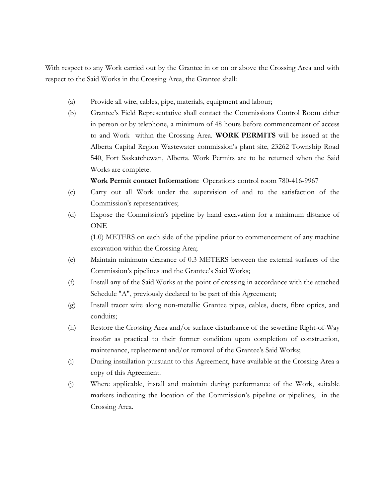With respect to any Work carried out by the Grantee in or on or above the Crossing Area and with respect to the Said Works in the Crossing Area, the Grantee shall:

- (a) Provide all wire, cables, pipe, materials, equipment and labour;
- (b) Grantee's Field Representative shall contact the Commissions Control Room either in person or by telephone, a minimum of 48 hours before commencement of access to and Work within the Crossing Area. **WORK PERMITS** will be issued at the Alberta Capital Region Wastewater commission's plant site, 23262 Township Road 540, Fort Saskatchewan, Alberta. Work Permits are to be returned when the Said Works are complete.

**Work Permit contact Information:** Operations control room 780-416-9967

- (c) Carry out all Work under the supervision of and to the satisfaction of the Commission's representatives;
- (d) Expose the Commission's pipeline by hand excavation for a minimum distance of ONE

(1.0) METERS on each side of the pipeline prior to commencement of any machine excavation within the Crossing Area;

- (e) Maintain minimum clearance of 0.3 METERS between the external surfaces of the Commission's pipelines and the Grantee's Said Works;
- (f) Install any of the Said Works at the point of crossing in accordance with the attached Schedule "A", previously declared to be part of this Agreement;
- (g) Install tracer wire along non-metallic Grantee pipes, cables, ducts, fibre optics, and conduits;
- (h) Restore the Crossing Area and/or surface disturbance of the sewerline Right-of-Way insofar as practical to their former condition upon completion of construction, maintenance, replacement and/or removal of the Grantee's Said Works;
- (i) During installation pursuant to this Agreement, have available at the Crossing Area a copy of this Agreement.
- (j) Where applicable, install and maintain during performance of the Work, suitable markers indicating the location of the Commission's pipeline or pipelines, in the Crossing Area.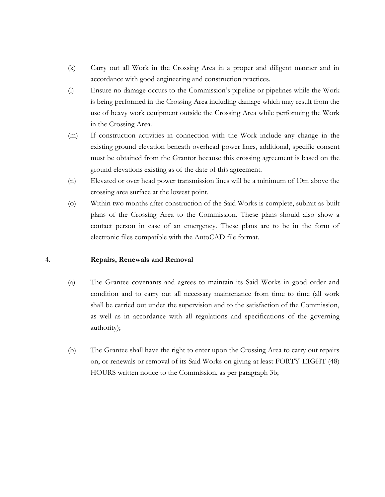- (k) Carry out all Work in the Crossing Area in a proper and diligent manner and in accordance with good engineering and construction practices.
- (l) Ensure no damage occurs to the Commission's pipeline or pipelines while the Work is being performed in the Crossing Area including damage which may result from the use of heavy work equipment outside the Crossing Area while performing the Work in the Crossing Area.
- (m) If construction activities in connection with the Work include any change in the existing ground elevation beneath overhead power lines, additional, specific consent must be obtained from the Grantor because this crossing agreement is based on the ground elevations existing as of the date of this agreement.
- (n) Elevated or over head power transmission lines will be a minimum of 10m above the crossing area surface at the lowest point.
- (o) Within two months after construction of the Said Works is complete, submit as-built plans of the Crossing Area to the Commission. These plans should also show a contact person in case of an emergency. These plans are to be in the form of electronic files compatible with the AutoCAD file format.

## 4. **Repairs, Renewals and Removal**

- (a) The Grantee covenants and agrees to maintain its Said Works in good order and condition and to carry out all necessary maintenance from time to time (all work shall be carried out under the supervision and to the satisfaction of the Commission, as well as in accordance with all regulations and specifications of the governing authority);
- (b) The Grantee shall have the right to enter upon the Crossing Area to carry out repairs on, or renewals or removal of its Said Works on giving at least FORTY-EIGHT (48) HOURS written notice to the Commission, as per paragraph 3b;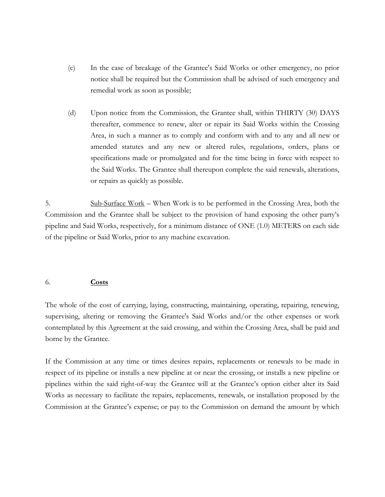- (c) In the case of breakage of the Grantee's Said Works or other emergency, no prior notice shall be required but the Commission shall be advised of such emergency and remedial work as soon as possible;
- (d) Upon notice from the Commission, the Grantee shall, within THIRTY (30) DAYS thereafter, commence to renew, alter or repair its Said Works within the Crossing Area, in such a manner as to comply and conform with and to any and all new or amended statutes and any new or altered rules, regulations, orders, plans or specifications made or promulgated and for the time being in force with respect to the Said Works. The Grantee shall thereupon complete the said renewals, alterations, or repairs as quickly as possible.

5. Sub-Surface Work – When Work is to be performed in the Crossing Area, both the Commission and the Grantee shall be subject to the provision of hand exposing the other party's pipeline and Said Works, respectively, for a minimum distance of ONE (1.0) METERS on each side of the pipeline or Said Works, prior to any machine excavation.

## 6. **Costs**

The whole of the cost of carrying, laying, constructing, maintaining, operating, repairing, renewing, supervising, altering or removing the Grantee's Said Works and/or the other expenses or work contemplated by this Agreement at the said crossing, and within the Crossing Area, shall be paid and borne by the Grantee.

If the Commission at any time or times desires repairs, replacements or renewals to be made in respect of its pipeline or installs a new pipeline at or near the crossing, or installs a new pipeline or pipelines within the said right-of-way the Grantee will at the Grantee's option either alter its Said Works as necessary to facilitate the repairs, replacements, renewals, or installation proposed by the Commission at the Grantee's expense; or pay to the Commission on demand the amount by which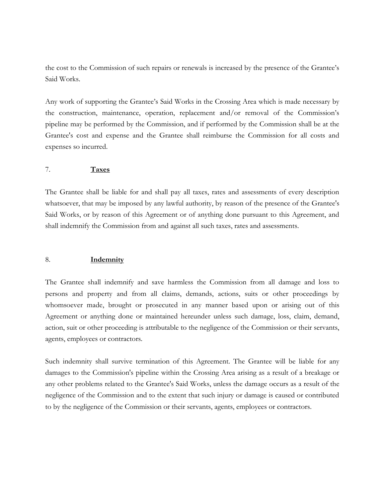the cost to the Commission of such repairs or renewals is increased by the presence of the Grantee's Said Works.

Any work of supporting the Grantee's Said Works in the Crossing Area which is made necessary by the construction, maintenance, operation, replacement and/or removal of the Commission's pipeline may be performed by the Commission, and if performed by the Commission shall be at the Grantee's cost and expense and the Grantee shall reimburse the Commission for all costs and expenses so incurred.

## 7. **Taxes**

The Grantee shall be liable for and shall pay all taxes, rates and assessments of every description whatsoever, that may be imposed by any lawful authority, by reason of the presence of the Grantee's Said Works, or by reason of this Agreement or of anything done pursuant to this Agreement, and shall indemnify the Commission from and against all such taxes, rates and assessments.

## 8. **Indemnity**

The Grantee shall indemnify and save harmless the Commission from all damage and loss to persons and property and from all claims, demands, actions, suits or other proceedings by whomsoever made, brought or prosecuted in any manner based upon or arising out of this Agreement or anything done or maintained hereunder unless such damage, loss, claim, demand, action, suit or other proceeding is attributable to the negligence of the Commission or their servants, agents, employees or contractors.

Such indemnity shall survive termination of this Agreement. The Grantee will be liable for any damages to the Commission's pipeline within the Crossing Area arising as a result of a breakage or any other problems related to the Grantee's Said Works, unless the damage occurs as a result of the negligence of the Commission and to the extent that such injury or damage is caused or contributed to by the negligence of the Commission or their servants, agents, employees or contractors.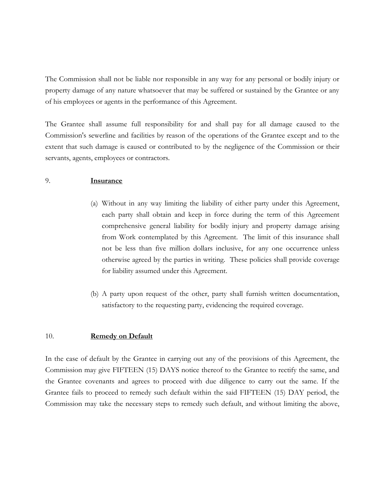The Commission shall not be liable nor responsible in any way for any personal or bodily injury or property damage of any nature whatsoever that may be suffered or sustained by the Grantee or any of his employees or agents in the performance of this Agreement.

The Grantee shall assume full responsibility for and shall pay for all damage caused to the Commission's sewerline and facilities by reason of the operations of the Grantee except and to the extent that such damage is caused or contributed to by the negligence of the Commission or their servants, agents, employees or contractors.

## 9. **Insurance**

- (a) Without in any way limiting the liability of either party under this Agreement, each party shall obtain and keep in force during the term of this Agreement comprehensive general liability for bodily injury and property damage arising from Work contemplated by this Agreement. The limit of this insurance shall not be less than five million dollars inclusive, for any one occurrence unless otherwise agreed by the parties in writing. These policies shall provide coverage for liability assumed under this Agreement.
- (b) A party upon request of the other, party shall furnish written documentation, satisfactory to the requesting party, evidencing the required coverage.

## 10. **Remedy on Default**

In the case of default by the Grantee in carrying out any of the provisions of this Agreement, the Commission may give FIFTEEN (15) DAYS notice thereof to the Grantee to rectify the same, and the Grantee covenants and agrees to proceed with due diligence to carry out the same. If the Grantee fails to proceed to remedy such default within the said FIFTEEN (15) DAY period, the Commission may take the necessary steps to remedy such default, and without limiting the above,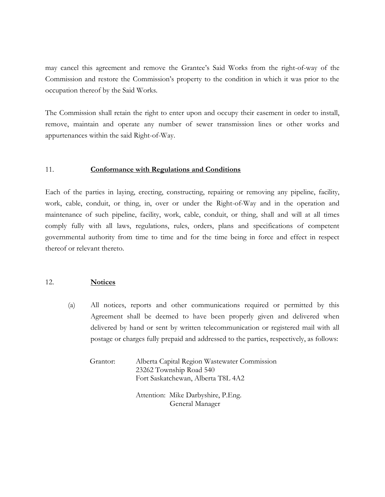may cancel this agreement and remove the Grantee's Said Works from the right-of-way of the Commission and restore the Commission's property to the condition in which it was prior to the occupation thereof by the Said Works.

The Commission shall retain the right to enter upon and occupy their easement in order to install, remove, maintain and operate any number of sewer transmission lines or other works and appurtenances within the said Right-of-Way.

## 11. **Conformance with Regulations and Conditions**

Each of the parties in laying, erecting, constructing, repairing or removing any pipeline, facility, work, cable, conduit, or thing, in, over or under the Right-of-Way and in the operation and maintenance of such pipeline, facility, work, cable, conduit, or thing, shall and will at all times comply fully with all laws, regulations, rules, orders, plans and specifications of competent governmental authority from time to time and for the time being in force and effect in respect thereof or relevant thereto.

## 12. **Notices**

(a) All notices, reports and other communications required or permitted by this Agreement shall be deemed to have been properly given and delivered when delivered by hand or sent by written telecommunication or registered mail with all postage or charges fully prepaid and addressed to the parties, respectively, as follows:

| Grantor: | Alberta Capital Region Wastewater Commission |
|----------|----------------------------------------------|
|          | 23262 Township Road 540                      |
|          | Fort Saskatchewan, Alberta T8L 4A2           |
|          |                                              |

Attention: Mike Darbyshire, P.Eng. General Manager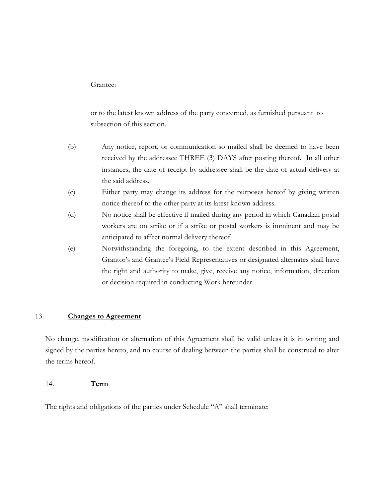## Grantee:

or to the latest known address of the party concerned, as furnished pursuant to subsection of this section.

- (b) Any notice, report, or communication so mailed shall be deemed to have been received by the addressee THREE (3) DAYS after posting thereof. In all other instances, the date of receipt by addressee shall be the date of actual delivery at the said address.
- (c) Either party may change its address for the purposes hereof by giving written notice thereof to the other party at its latest known address.
- (d) No notice shall be effective if mailed during any period in which Canadian postal workers are on strike or if a strike or postal workers is imminent and may be anticipated to affect normal delivery thereof.
- (e) Notwithstanding the foregoing, to the extent described in this Agreement, Grantor's and Grantee's Field Representatives or designated alternates shall have the right and authority to make, give, receive any notice, information, direction or decision required in conducting Work hereunder.

## 13. **Changes to Agreement**

No change, modification or alternation of this Agreement shall be valid unless it is in writing and signed by the parties hereto, and no course of dealing between the parties shall be construed to alter the terms hereof.

## 14. **Term**

The rights and obligations of the parties under Schedule "A" shall terminate: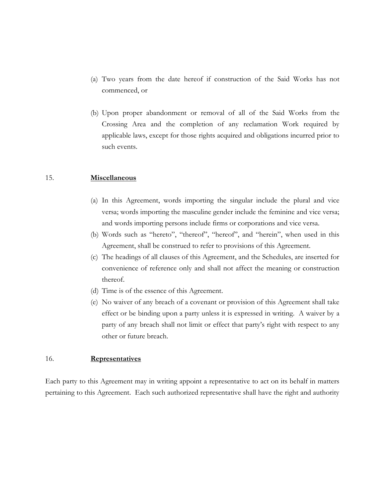- (a) Two years from the date hereof if construction of the Said Works has not commenced, or
- (b) Upon proper abandonment or removal of all of the Said Works from the Crossing Area and the completion of any reclamation Work required by applicable laws, except for those rights acquired and obligations incurred prior to such events.

#### 15. **Miscellaneous**

- (a) In this Agreement, words importing the singular include the plural and vice versa; words importing the masculine gender include the feminine and vice versa; and words importing persons include firms or corporations and vice versa.
- (b) Words such as "hereto", "thereof", "hereof", and "herein", when used in this Agreement, shall be construed to refer to provisions of this Agreement.
- (c) The headings of all clauses of this Agreement, and the Schedules, are inserted for convenience of reference only and shall not affect the meaning or construction thereof.
- (d) Time is of the essence of this Agreement.
- (e) No waiver of any breach of a covenant or provision of this Agreement shall take effect or be binding upon a party unless it is expressed in writing. A waiver by a party of any breach shall not limit or effect that party's right with respect to any other or future breach.

# 16. **Representatives**

Each party to this Agreement may in writing appoint a representative to act on its behalf in matters pertaining to this Agreement. Each such authorized representative shall have the right and authority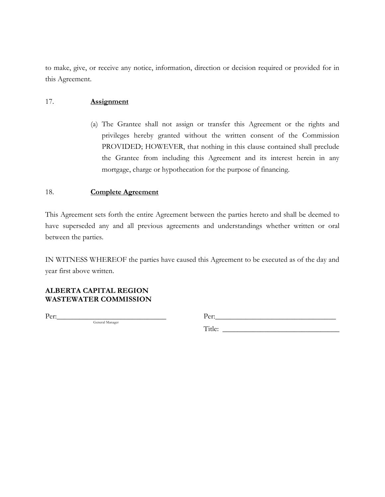to make, give, or receive any notice, information, direction or decision required or provided for in this Agreement.

# 17. **Assignment**

(a) The Grantee shall not assign or transfer this Agreement or the rights and privileges hereby granted without the written consent of the Commission PROVIDED; HOWEVER, that nothing in this clause contained shall preclude the Grantee from including this Agreement and its interest herein in any mortgage, charge or hypothecation for the purpose of financing.

## 18. **Complete Agreement**

This Agreement sets forth the entire Agreement between the parties hereto and shall be deemed to have superseded any and all previous agreements and understandings whether written or oral between the parties.

IN WITNESS WHEREOF the parties have caused this Agreement to be executed as of the day and year first above written.

# **ALBERTA CAPITAL REGION WASTEWATER COMMISSION**

General Manager

Per:\_\_\_\_\_\_\_\_\_\_\_\_\_\_\_\_\_\_\_\_\_\_\_\_\_\_\_\_\_ Per:\_\_\_\_\_\_\_\_\_\_\_\_\_\_\_\_\_\_\_\_\_\_\_\_\_\_\_\_\_\_\_\_

Title: